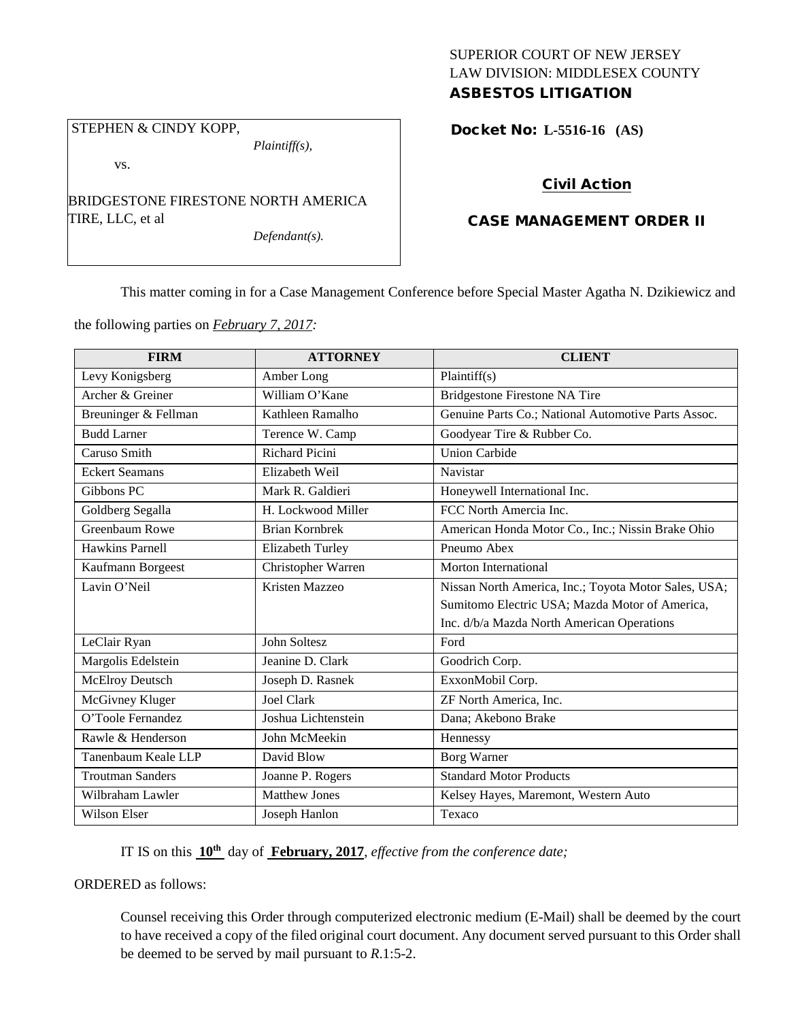### SUPERIOR COURT OF NEW JERSEY LAW DIVISION: MIDDLESEX COUNTY ASBESTOS LITIGATION

# STEPHEN & CINDY KOPP,

*Plaintiff(s),*

vs.

BRIDGESTONE FIRESTONE NORTH AMERICA TIRE, LLC, et al

*Defendant(s).*

Docket No: **L-5516-16 (AS)** 

## Civil Action

## CASE MANAGEMENT ORDER II

This matter coming in for a Case Management Conference before Special Master Agatha N. Dzikiewicz and

the following parties on *February 7, 2017:*

| <b>FIRM</b>             | <b>ATTORNEY</b>         | <b>CLIENT</b>                                        |
|-------------------------|-------------------------|------------------------------------------------------|
| Levy Konigsberg         | Amber Long              | Plaintiff(s)                                         |
| Archer & Greiner        | William O'Kane          | Bridgestone Firestone NA Tire                        |
| Breuninger & Fellman    | Kathleen Ramalho        | Genuine Parts Co.; National Automotive Parts Assoc.  |
| <b>Budd Larner</b>      | Terence W. Camp         | Goodyear Tire & Rubber Co.                           |
| Caruso Smith            | <b>Richard Picini</b>   | <b>Union Carbide</b>                                 |
| <b>Eckert Seamans</b>   | Elizabeth Weil          | Navistar                                             |
| Gibbons PC              | Mark R. Galdieri        | Honeywell International Inc.                         |
| Goldberg Segalla        | H. Lockwood Miller      | FCC North Amercia Inc.                               |
| Greenbaum Rowe          | <b>Brian Kornbrek</b>   | American Honda Motor Co., Inc.; Nissin Brake Ohio    |
| Hawkins Parnell         | <b>Elizabeth Turley</b> | Pneumo Abex                                          |
| Kaufmann Borgeest       | Christopher Warren      | <b>Morton International</b>                          |
| Lavin O'Neil            | Kristen Mazzeo          | Nissan North America, Inc.; Toyota Motor Sales, USA; |
|                         |                         | Sumitomo Electric USA; Mazda Motor of America,       |
|                         |                         | Inc. d/b/a Mazda North American Operations           |
| LeClair Ryan            | <b>John Soltesz</b>     | Ford                                                 |
| Margolis Edelstein      | Jeanine D. Clark        | Goodrich Corp.                                       |
| McElroy Deutsch         | Joseph D. Rasnek        | ExxonMobil Corp.                                     |
| McGivney Kluger         | Joel Clark              | ZF North America, Inc.                               |
| O'Toole Fernandez       | Joshua Lichtenstein     | Dana; Akebono Brake                                  |
| Rawle & Henderson       | John McMeekin           | Hennessy                                             |
| Tanenbaum Keale LLP     | David Blow              | Borg Warner                                          |
| <b>Troutman Sanders</b> | Joanne P. Rogers        | <b>Standard Motor Products</b>                       |
| Wilbraham Lawler        | <b>Matthew Jones</b>    | Kelsey Hayes, Maremont, Western Auto                 |
| Wilson Elser            | Joseph Hanlon           | Texaco                                               |

IT IS on this **10th** day of **February, 2017**, *effective from the conference date;*

ORDERED as follows:

Counsel receiving this Order through computerized electronic medium (E-Mail) shall be deemed by the court to have received a copy of the filed original court document. Any document served pursuant to this Order shall be deemed to be served by mail pursuant to *R*.1:5-2.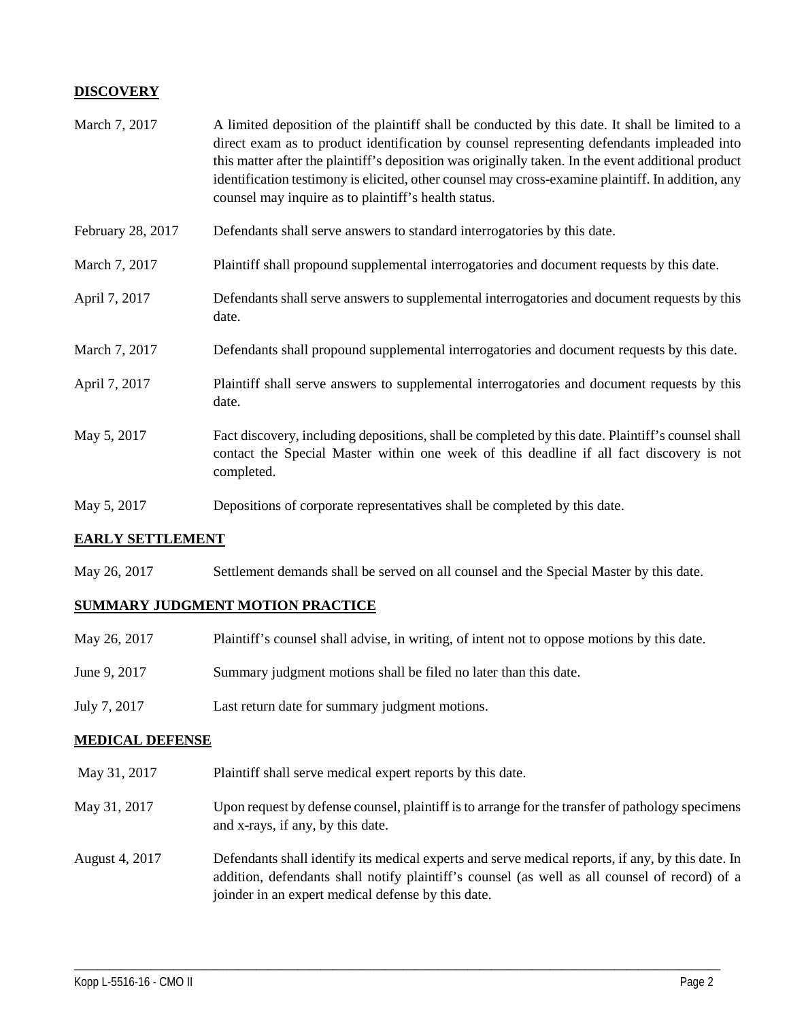## **DISCOVERY**

| March 7, 2017     | A limited deposition of the plaintiff shall be conducted by this date. It shall be limited to a<br>direct exam as to product identification by counsel representing defendants impleaded into<br>this matter after the plaintiff's deposition was originally taken. In the event additional product<br>identification testimony is elicited, other counsel may cross-examine plaintiff. In addition, any<br>counsel may inquire as to plaintiff's health status. |
|-------------------|------------------------------------------------------------------------------------------------------------------------------------------------------------------------------------------------------------------------------------------------------------------------------------------------------------------------------------------------------------------------------------------------------------------------------------------------------------------|
| February 28, 2017 | Defendants shall serve answers to standard interrogatories by this date.                                                                                                                                                                                                                                                                                                                                                                                         |
| March 7, 2017     | Plaintiff shall propound supplemental interrogatories and document requests by this date.                                                                                                                                                                                                                                                                                                                                                                        |
| April 7, 2017     | Defendants shall serve answers to supplemental interrogatories and document requests by this<br>date.                                                                                                                                                                                                                                                                                                                                                            |
| March 7, 2017     | Defendants shall propound supplemental interrogatories and document requests by this date.                                                                                                                                                                                                                                                                                                                                                                       |
| April 7, 2017     | Plaintiff shall serve answers to supplemental interrogatories and document requests by this<br>date.                                                                                                                                                                                                                                                                                                                                                             |
| May 5, 2017       | Fact discovery, including depositions, shall be completed by this date. Plaintiff's counsel shall<br>contact the Special Master within one week of this deadline if all fact discovery is not<br>completed.                                                                                                                                                                                                                                                      |
| May 5, 2017       | Depositions of corporate representatives shall be completed by this date.                                                                                                                                                                                                                                                                                                                                                                                        |

### **EARLY SETTLEMENT**

May 26, 2017 Settlement demands shall be served on all counsel and the Special Master by this date.

### **SUMMARY JUDGMENT MOTION PRACTICE**

| May 26, 2017 | Plaintiff's counsel shall advise, in writing, of intent not to oppose motions by this date. |
|--------------|---------------------------------------------------------------------------------------------|
| June 9, 2017 | Summary judgment motions shall be filed no later than this date.                            |
| July 7, 2017 | Last return date for summary judgment motions.                                              |

### **MEDICAL DEFENSE**

- May 31, 2017 Plaintiff shall serve medical expert reports by this date.
- May 31, 2017 Upon request by defense counsel, plaintiff is to arrange for the transfer of pathology specimens and x-rays, if any, by this date.
- August 4, 2017 Defendants shall identify its medical experts and serve medical reports, if any, by this date. In addition, defendants shall notify plaintiff's counsel (as well as all counsel of record) of a joinder in an expert medical defense by this date.

\_\_\_\_\_\_\_\_\_\_\_\_\_\_\_\_\_\_\_\_\_\_\_\_\_\_\_\_\_\_\_\_\_\_\_\_\_\_\_\_\_\_\_\_\_\_\_\_\_\_\_\_\_\_\_\_\_\_\_\_\_\_\_\_\_\_\_\_\_\_\_\_\_\_\_\_\_\_\_\_\_\_\_\_\_\_\_\_\_\_\_\_\_\_\_\_\_\_\_\_\_\_\_\_\_\_\_\_\_\_